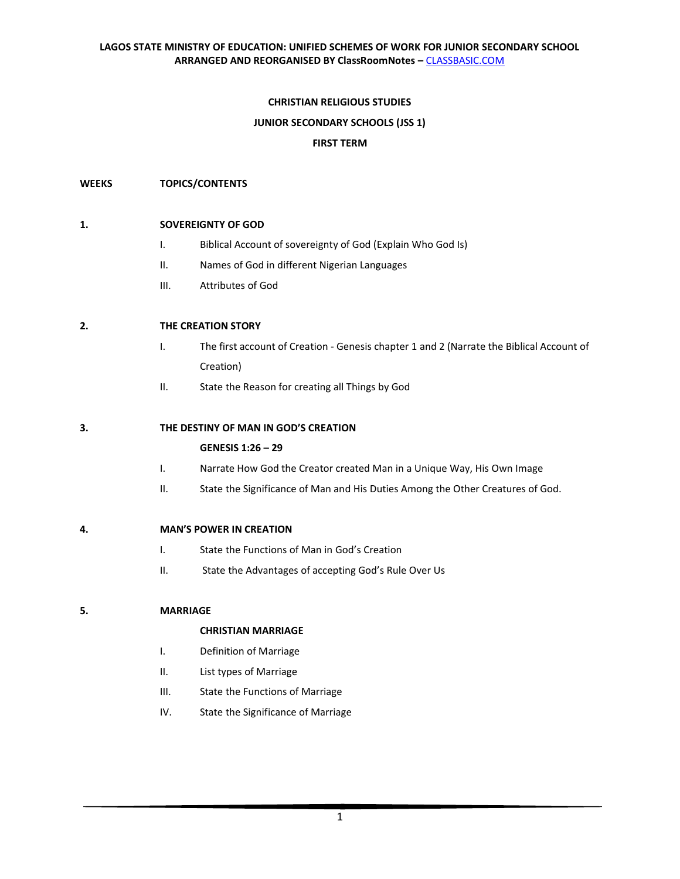## **CHRISTIAN RELIGIOUS STUDIES**

### **JUNIOR SECONDARY SCHOOLS (JSS 1)**

### **FIRST TERM**

### **WEEKS TOPICS/CONTENTS**

### **1. SOVEREIGNTY OF GOD**

- I. Biblical Account of sovereignty of God (Explain Who God Is)
- II. Names of God in different Nigerian Languages
- III. Attributes of God

## **2. THE CREATION STORY**

- I. The first account of Creation Genesis chapter 1 and 2 (Narrate the Biblical Account of Creation)
- II. State the Reason for creating all Things by God

### **3. THE DESTINY OF MAN IN GOD'S CREATION**

#### **GENESIS 1:26 – 29**

- I. Narrate How God the Creator created Man in a Unique Way, His Own Image
- II. State the Significance of Man and His Duties Among the Other Creatures of God.

### **4. MAN'S POWER IN CREATION**

- I. State the Functions of Man in God's Creation
- II. State the Advantages of accepting God's Rule Over Us

#### **5. MARRIAGE**

#### **CHRISTIAN MARRIAGE**

- I. Definition of Marriage
- II. List types of Marriage
- III. State the Functions of Marriage
- IV. State the Significance of Marriage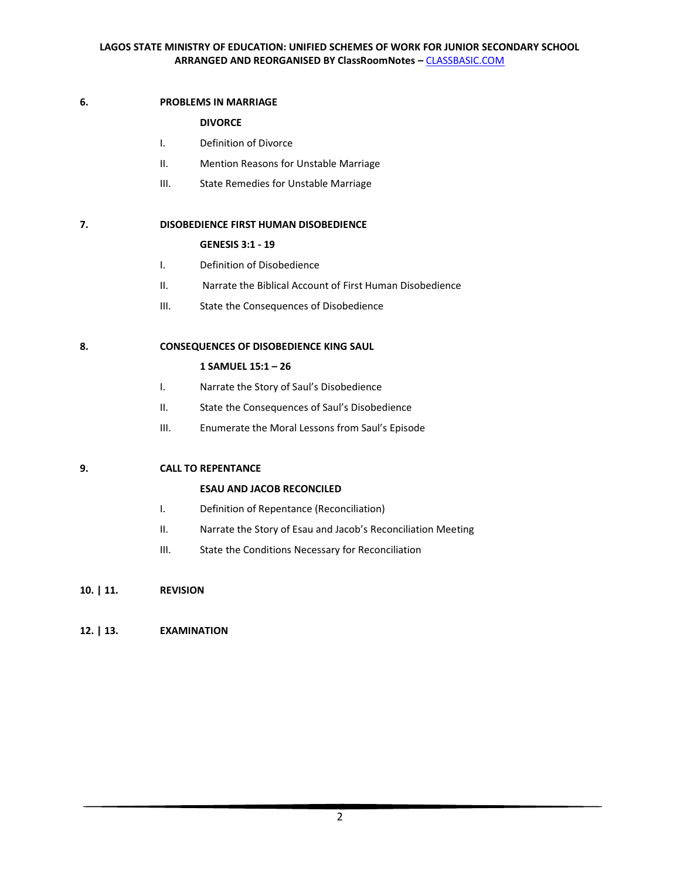## **6. PROBLEMS IN MARRIAGE**

## **DIVORCE**

- I. Definition of Divorce
- II. Mention Reasons for Unstable Marriage
- III. State Remedies for Unstable Marriage

## **7. DISOBEDIENCE FIRST HUMAN DISOBEDIENCE**

## **GENESIS 3:1 - 19**

- I. Definition of Disobedience
- II. Narrate the Biblical Account of First Human Disobedience
- III. State the Consequences of Disobedience

## **8. CONSEQUENCES OF DISOBEDIENCE KING SAUL**

## **1 SAMUEL 15:1 – 26**

- I. Narrate the Story of Saul's Disobedience
- II. State the Consequences of Saul's Disobedience
- III. Enumerate the Moral Lessons from Saul's Episode

# **9. CALL TO REPENTANCE**

# **ESAU AND JACOB RECONCILED**

- I. Definition of Repentance (Reconciliation)
- II. Narrate the Story of Esau and Jacob's Reconciliation Meeting
- III. State the Conditions Necessary for Reconciliation

# **10. | 11. REVISION**

# **12. | 13. EXAMINATION**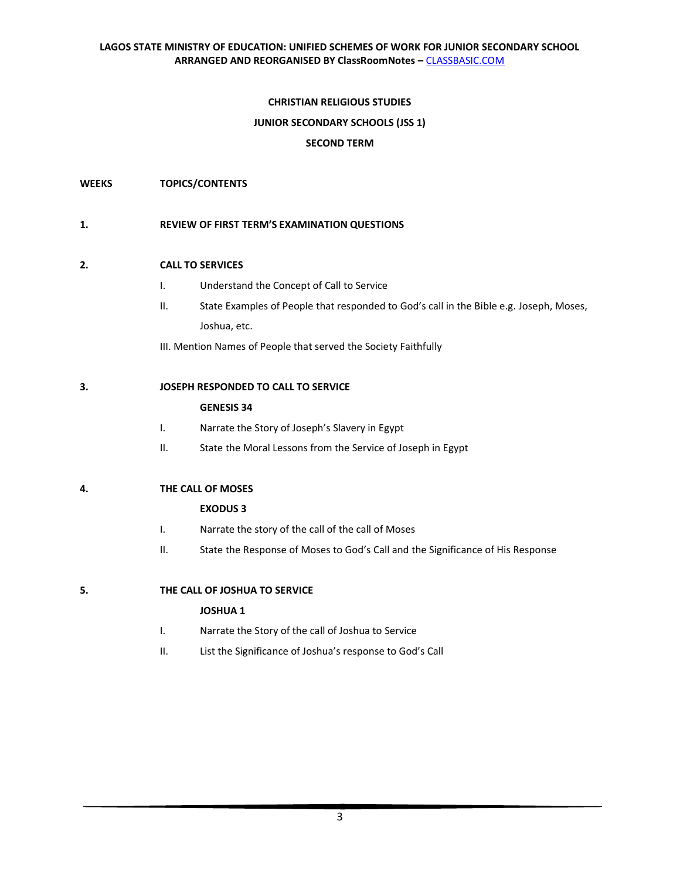## **CHRISTIAN RELIGIOUS STUDIES**

## **JUNIOR SECONDARY SCHOOLS (JSS 1)**

## **SECOND TERM**

## **WEEKS TOPICS/CONTENTS**

### **1. REVIEW OF FIRST TERM'S EXAMINATION QUESTIONS**

### **2. CALL TO SERVICES**

- I. Understand the Concept of Call to Service
- II. State Examples of People that responded to God's call in the Bible e.g. Joseph, Moses, Joshua, etc.

III. Mention Names of People that served the Society Faithfully

## **3. JOSEPH RESPONDED TO CALL TO SERVICE**

### **GENESIS 34**

- I. Narrate the Story of Joseph's Slavery in Egypt
- II. State the Moral Lessons from the Service of Joseph in Egypt

## **4. THE CALL OF MOSES**

## **EXODUS 3**

- I. Narrate the story of the call of the call of Moses
- II. State the Response of Moses to God's Call and the Significance of His Response

**5. THE CALL OF JOSHUA TO SERVICE** 

## **JOSHUA 1**

- I. Narrate the Story of the call of Joshua to Service
- II. List the Significance of Joshua's response to God's Call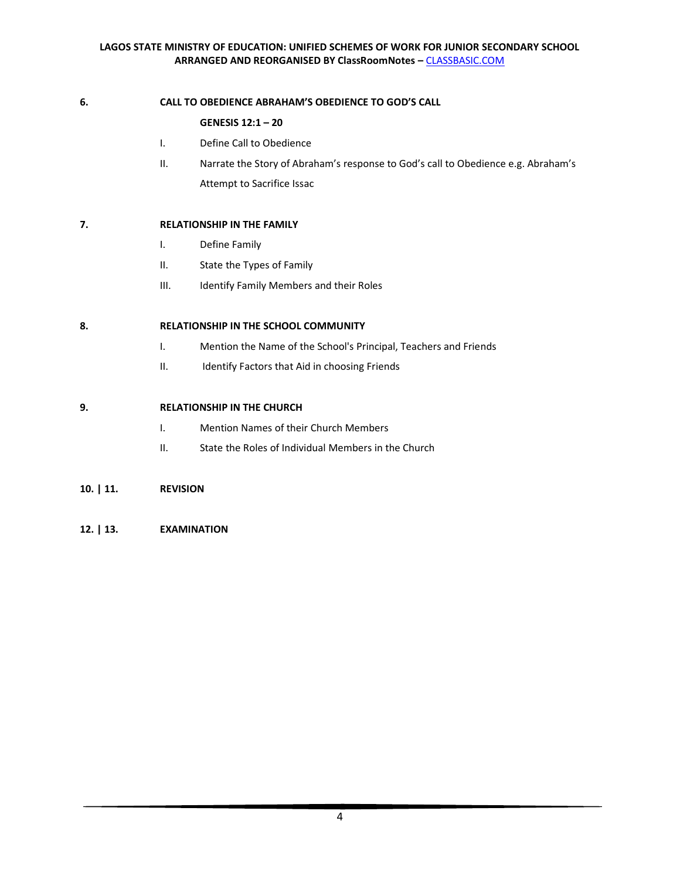## **6. CALL TO OBEDIENCE ABRAHAM'S OBEDIENCE TO GOD'S CALL**

## **GENESIS 12:1 – 20**

- I. Define Call to Obedience
- II. Narrate the Story of Abraham's response to God's call to Obedience e.g. Abraham's Attempt to Sacrifice Issac

## **7. RELATIONSHIP IN THE FAMILY**

- I. Define Family
- II. State the Types of Family
- III. Identify Family Members and their Roles

## **8. RELATIONSHIP IN THE SCHOOL COMMUNITY**

- I. Mention the Name of the School's Principal, Teachers and Friends
- II. Identify Factors that Aid in choosing Friends

## **9. RELATIONSHIP IN THE CHURCH**

- I. Mention Names of their Church Members
- II. State the Roles of Individual Members in the Church

## **10. | 11. REVISION**

**12. | 13. EXAMINATION**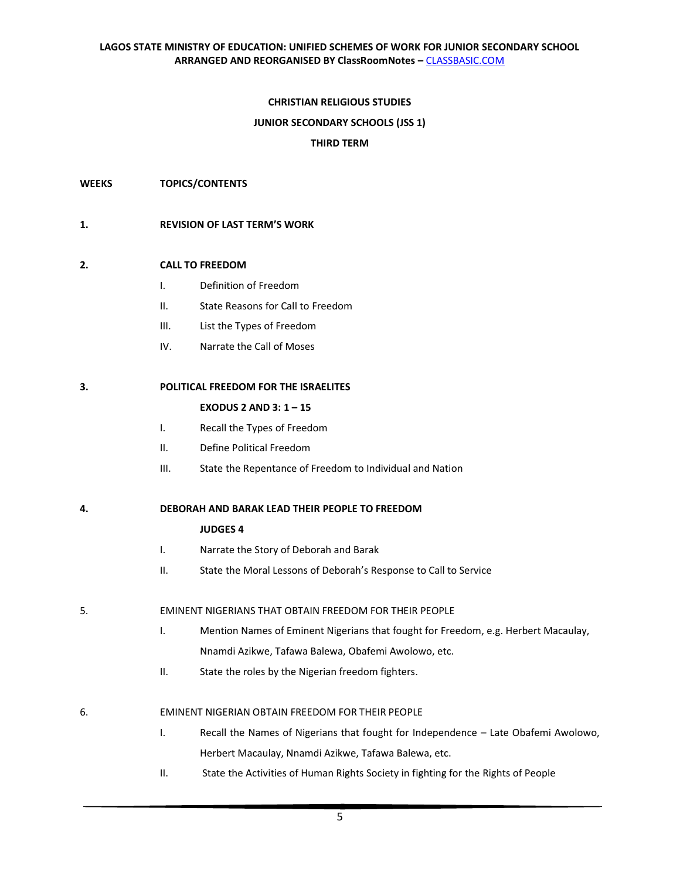## **CHRISTIAN RELIGIOUS STUDIES**

### **JUNIOR SECONDARY SCHOOLS (JSS 1)**

### **THIRD TERM**

**WEEKS TOPICS/CONTENTS**

### **1. REVISION OF LAST TERM'S WORK**

### **2. CALL TO FREEDOM**

- I. Definition of Freedom
- II. State Reasons for Call to Freedom
- III. List the Types of Freedom
- IV. Narrate the Call of Moses

### **3. POLITICAL FREEDOM FOR THE ISRAELITES**

### **EXODUS 2 AND 3: 1 – 15**

- I. Recall the Types of Freedom
- II. Define Political Freedom
- III. State the Repentance of Freedom to Individual and Nation

## **4. DEBORAH AND BARAK LEAD THEIR PEOPLE TO FREEDOM**

#### **JUDGES 4**

- I. Narrate the Story of Deborah and Barak
- II. State the Moral Lessons of Deborah's Response to Call to Service

#### 5. EMINENT NIGERIANS THAT OBTAIN FREEDOM FOR THEIR PEOPLE

- I. Mention Names of Eminent Nigerians that fought for Freedom, e.g. Herbert Macaulay, Nnamdi Azikwe, Tafawa Balewa, Obafemi Awolowo, etc.
- II. State the roles by the Nigerian freedom fighters.

#### 6. EMINENT NIGERIAN OBTAIN FREEDOM FOR THEIR PEOPLE

- I. Recall the Names of Nigerians that fought for Independence Late Obafemi Awolowo, Herbert Macaulay, Nnamdi Azikwe, Tafawa Balewa, etc.
- II. State the Activities of Human Rights Society in fighting for the Rights of People